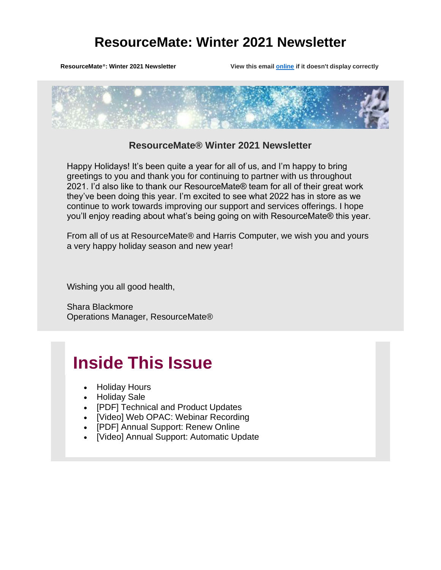ResourceMate<sup>®</sup>: Winter 2021 Newsletter View this email **[online](https://app.getresponse.com/view.html?x=a62b&m=BQUYgw&mc=Jj&s=BV3nD5t&u=hN2lS&z=EQXkMRo&)** if it doesn't display correctly



### **ResourceMate® Winter 2021 Newsletter**

Happy Holidays! It's been quite a year for all of us, and I'm happy to bring greetings to you and thank you for continuing to partner with us throughout 2021. I'd also like to thank our ResourceMate® team for all of their great work they've been doing this year. I'm excited to see what 2022 has in store as we continue to work towards improving our support and services offerings. I hope you'll enjoy reading about what's being going on with ResourceMate® this year.

From all of us at ResourceMate® and Harris Computer, we wish you and yours a very happy holiday season and new year!

Wishing you all good health,

Shara Blackmore Operations Manager, ResourceMate®

# **Inside This Issue**

- Holiday Hours
- Holiday Sale
- [PDF] Technical and Product Updates
- [Video] Web OPAC: Webinar Recording
- [PDF] Annual Support: Renew Online
- [Video] Annual Support: Automatic Update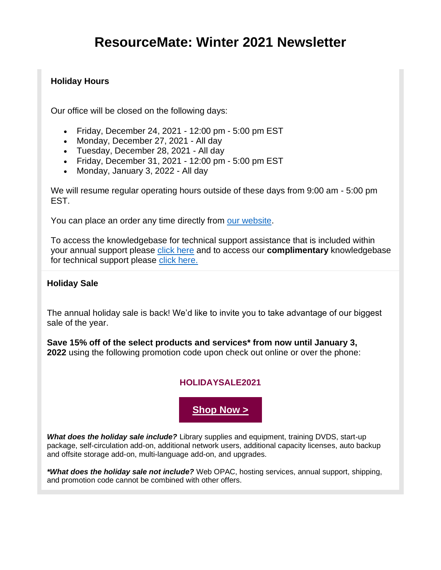### **Holiday Hours**

Our office will be closed on the following days:

- Friday, December 24, 2021 12:00 pm 5:00 pm EST
- Monday, December 27, 2021 All day
- Tuesday, December 28, 2021 All day
- Friday, December 31, 2021 12:00 pm 5:00 pm EST
- Monday, January 3, 2022 All day

We will resume regular operating hours outside of these days from 9:00 am - 5:00 pm EST.

You can place an order any time directly from [our website.](https://app.getresponse.com/click.html?x=a62b&lc=SmVf8F&mc=Is&s=BV3nD5t&u=hN2lS&z=EREsMc2&)

To access the knowledgebase for technical support assistance that is included within your annual support please [click here](https://app.getresponse.com/click.html?x=a62b&lc=SmVfjq&mc=Is&s=BV3nD5t&u=hN2lS&z=EQU9hMG&) and to access our **complimentary** knowledgebase for technical support please [click here.](https://app.getresponse.com/click.html?x=a62b&lc=SmVf5o&mc=Is&s=BV3nD5t&u=hN2lS&z=EME69pH&) 

### **Holiday Sale**

The annual holiday sale is back! We'd like to invite you to take advantage of our biggest sale of the year.

**Save 15% off of the select products and services\* from now until January 3, 2022** using the following promotion code upon check out online or over the phone:

### **HOLIDAYSALE2021**

**[Shop Now >](https://app.getresponse.com/click.html?x=a62b&lc=SmVfYw&mc=Is&s=BV3nD5t&u=hN2lS&z=EIZrQkQ&)**

*What does the holiday sale include?* Library supplies and equipment, training DVDS, start-up package, self-circulation add-on, additional network users, additional capacity licenses, auto backup and offsite storage add-on, multi-language add-on, and upgrades.

*\*What does the holiday sale not include?* Web OPAC, hosting services, annual support, shipping, and promotion code cannot be combined with other offers.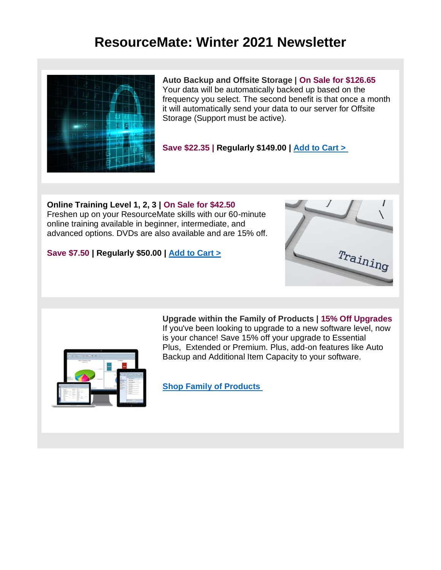

**Auto Backup and Offsite Storage | On Sale for \$126.65** Your data will be automatically backed up based on the frequency you select. The second benefit is that once a month it will automatically send your data to our server for Offsite Storage (Support must be active).

**Save \$22.35 | Regularly \$149.00 | [Add to Cart >](https://app.getresponse.com/click.html?x=a62b&lc=SmVfuT&mc=Is&s=BV3nD5t&u=hN2lS&z=ESwfzmM&)**

**Online Training Level 1, 2, 3 | On Sale for \$42.50** Freshen up on your ResourceMate skills with our 60-minute online training available in beginner, intermediate, and advanced options. DVDs are also available and are 15% off.

#### **Save \$7.50 | Regularly \$50.00 | [Add to Cart >](https://app.getresponse.com/click.html?x=a62b&lc=SmVfT0&mc=Is&s=BV3nD5t&u=hN2lS&z=Etsora&)**





**Upgrade within the Family of Products | 15% Off Upgrades** If you've been looking to upgrade to a new software level, now is your chance! Save 15% off your upgrade to Essential Plus, Extended or Premium. Plus, add-on features like Auto Backup and Additional Item Capacity to your software.

**[Shop Family of Products](https://app.getresponse.com/click.html?x=a62b&lc=SmVfca&mc=Is&s=BV3nD5t&u=hN2lS&z=EwaSdo&)**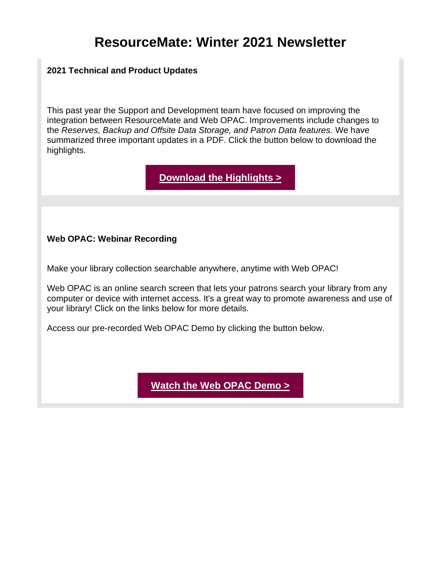### **2021 Technical and Product Updates**

This past year the Support and Development team have focused on improving the integration between ResourceMate and Web OPAC. Improvements include changes to the *Reserves, Backup and Offsite Data Storage, and Patron Data features.* We have summarized three important updates in a PDF. Click the button below to download the highlights.

**[Download the Highlights >](https://app.getresponse.com/click.html?x=a62b&lc=SmVfsP&mc=Is&s=BV3nD5t&u=hN2lS&z=EBO1wVL&)**

### **Web OPAC: Webinar Recording**

Make your library collection searchable anywhere, anytime with Web OPAC!

Web OPAC is an online search screen that lets your patrons search your library from any computer or device with internet access. It's a great way to promote awareness and use of your library! Click on the links below for more details.

Access our pre-recorded Web OPAC Demo by clicking the button below.

**[Watch the Web OPAC Demo >](https://app.getresponse.com/click.html?x=a62b&lc=SmVfbt&mc=Is&s=BV3nD5t&u=hN2lS&z=E981z2a&)**